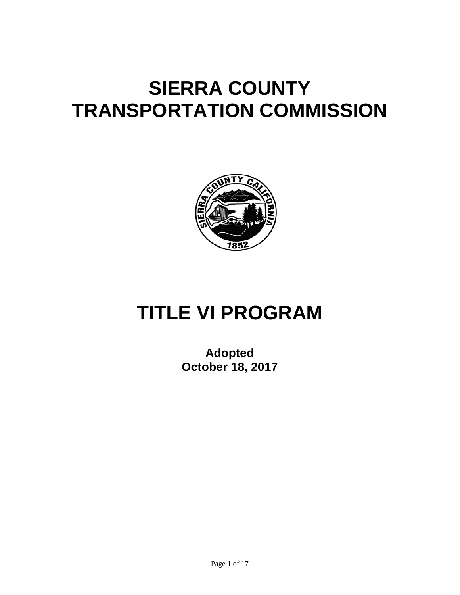# **SIERRA COUNTY TRANSPORTATION COMMISSION**



# **TITLE VI PROGRAM**

**Adopted October 18, 2017**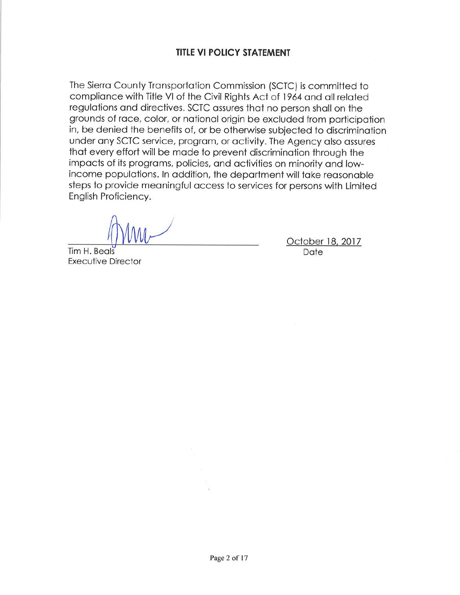## **TITLE VI POLICY STATEMENT**

The Sierra County Transportation Commission (SCTC) is committed to compliance with Title VI of the Civil Rights Act of 1964 and all related regulations and directives. SCTC assures that no person shall on the grounds of race, color, or national origin be excluded from participation in, be denied the benefits of, or be otherwise subjected to discrimination under any SCTC service, program, or activity. The Agency also assures that every effort will be made to prevent discrimination through the impacts of its programs, policies, and activities on minority and lowincome populations. In addition, the department will take reasonable steps to provide meaningful access to services for persons with Limited English Proficiency.

Tim H. Beals **Executive Director** 

October 18, 2017 Date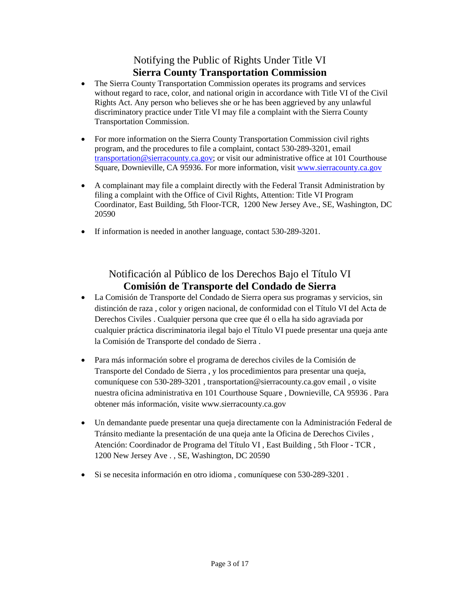## Notifying the Public of Rights Under Title VI **Sierra County Transportation Commission**

- The Sierra County Transportation Commission operates its programs and services without regard to race, color, and national origin in accordance with Title VI of the Civil Rights Act. Any person who believes she or he has been aggrieved by any unlawful discriminatory practice under Title VI may file a complaint with the Sierra County Transportation Commission.
- For more information on the Sierra County Transportation Commission civil rights program, and the procedures to file a complaint, contact 530-289-3201, email transportation@sierracounty.ca.gov; or visit our administrative office at 101 Courthouse Square, Downieville, CA 95936. For more information, visit www.sierracounty.ca.gov
- A complainant may file a complaint directly with the Federal Transit Administration by filing a complaint with the Office of Civil Rights, Attention: Title VI Program Coordinator, East Building, 5th Floor-TCR, 1200 New Jersey Ave., SE, Washington, DC 20590
- If information is needed in another language, contact 530-289-3201.

## Notificación al Público de los Derechos Bajo el Título VI **Comisión de Transporte del Condado de Sierra**

- La Comisión de Transporte del Condado de Sierra opera sus programas y servicios, sin distinción de raza , color y origen nacional, de conformidad con el Título VI del Acta de Derechos Civiles . Cualquier persona que cree que él o ella ha sido agraviada por cualquier práctica discriminatoria ilegal bajo el Título VI puede presentar una queja ante la Comisión de Transporte del condado de Sierra .
- Para más información sobre el programa de derechos civiles de la Comisión de Transporte del Condado de Sierra , y los procedimientos para presentar una queja, comuníquese con 530-289-3201 , transportation@sierracounty.ca.gov email , o visite nuestra oficina administrativa en 101 Courthouse Square , Downieville, CA 95936 . Para obtener más información, visite www.sierracounty.ca.gov
- Un demandante puede presentar una queja directamente con la Administración Federal de Tránsito mediante la presentación de una queja ante la Oficina de Derechos Civiles , Atención: Coordinador de Programa del Título VI , East Building , 5th Floor - TCR , 1200 New Jersey Ave . , SE, Washington, DC 20590
- Si se necesita información en otro idioma , comuníquese con 530-289-3201 .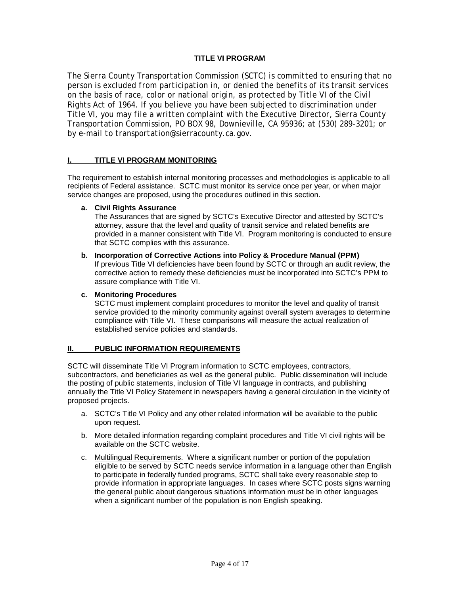#### **TITLE VI PROGRAM**

*The Sierra County Transportation Commission (SCTC) is committed to ensuring that no person is excluded from participation in, or denied the benefits of its transit services on the basis of race, color or national origin, as protected by Title VI of the Civil Rights Act of 1964. If you believe you have been subjected to discrimination under Title VI, you may file a written complaint with the Executive Director, Sierra County Transportation Commission, PO BOX 98, Downieville, CA 95936; at (530) 289-3201; or by e-mail to transportation@sierracounty.ca.gov.*

#### **I. TITLE VI PROGRAM MONITORING**

The requirement to establish internal monitoring processes and methodologies is applicable to all recipients of Federal assistance. SCTC must monitor its service once per year, or when major service changes are proposed, using the procedures outlined in this section.

#### **a. Civil Rights Assurance**

The Assurances that are signed by SCTC's Executive Director and attested by SCTC's attorney, assure that the level and quality of transit service and related benefits are provided in a manner consistent with Title VI. Program monitoring is conducted to ensure that SCTC complies with this assurance.

**b. Incorporation of Corrective Actions into Policy & Procedure Manual (PPM)**  If previous Title VI deficiencies have been found by SCTC or through an audit review, the corrective action to remedy these deficiencies must be incorporated into SCTC's PPM to assure compliance with Title VI.

#### **c. Monitoring Procedures**

SCTC must implement complaint procedures to monitor the level and quality of transit service provided to the minority community against overall system averages to determine compliance with Title VI. These comparisons will measure the actual realization of established service policies and standards.

#### **II. PUBLIC INFORMATION REQUIREMENTS**

SCTC will disseminate Title VI Program information to SCTC employees, contractors, subcontractors, and beneficiaries as well as the general public. Public dissemination will include the posting of public statements, inclusion of Title VI language in contracts, and publishing annually the Title VI Policy Statement in newspapers having a general circulation in the vicinity of proposed projects.

- a. SCTC's Title VI Policy and any other related information will be available to the public upon request.
- b. More detailed information regarding complaint procedures and Title VI civil rights will be available on the SCTC website.
- c. Multilingual Requirements. Where a significant number or portion of the population eligible to be served by SCTC needs service information in a language other than English to participate in federally funded programs, SCTC shall take every reasonable step to provide information in appropriate languages. In cases where SCTC posts signs warning the general public about dangerous situations information must be in other languages when a significant number of the population is non English speaking.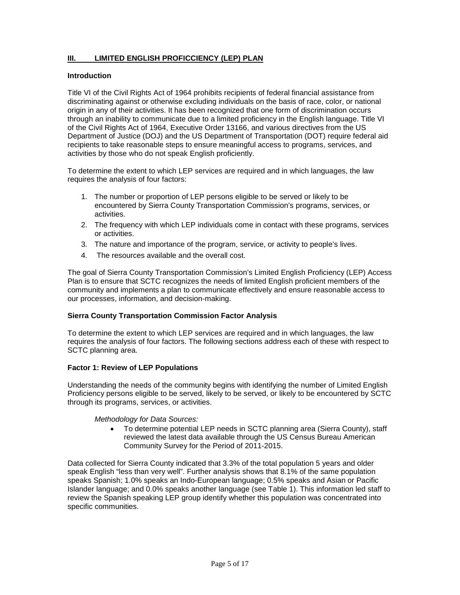#### **III. LIMITED ENGLISH PROFICCIENCY (LEP) PLAN**

#### **Introduction**

Title VI of the Civil Rights Act of 1964 prohibits recipients of federal financial assistance from discriminating against or otherwise excluding individuals on the basis of race, color, or national origin in any of their activities. It has been recognized that one form of discrimination occurs through an inability to communicate due to a limited proficiency in the English language. Title VI of the Civil Rights Act of 1964, Executive Order 13166, and various directives from the US Department of Justice (DOJ) and the US Department of Transportation (DOT) require federal aid recipients to take reasonable steps to ensure meaningful access to programs, services, and activities by those who do not speak English proficiently.

To determine the extent to which LEP services are required and in which languages, the law requires the analysis of four factors:

- 1. The number or proportion of LEP persons eligible to be served or likely to be encountered by Sierra County Transportation Commission's programs, services, or activities.
- 2. The frequency with which LEP individuals come in contact with these programs, services or activities.
- 3. The nature and importance of the program, service, or activity to people's lives.
- 4. The resources available and the overall cost.

The goal of Sierra County Transportation Commission's Limited English Proficiency (LEP) Access Plan is to ensure that SCTC recognizes the needs of limited English proficient members of the community and implements a plan to communicate effectively and ensure reasonable access to our processes, information, and decision-making.

#### **Sierra County Transportation Commission Factor Analysis**

To determine the extent to which LEP services are required and in which languages, the law requires the analysis of four factors. The following sections address each of these with respect to SCTC planning area.

#### **Factor 1: Review of LEP Populations**

Understanding the needs of the community begins with identifying the number of Limited English Proficiency persons eligible to be served, likely to be served, or likely to be encountered by SCTC through its programs, services, or activities.

#### *Methodology for Data Sources:*

• To determine potential LEP needs in SCTC planning area (Sierra County), staff reviewed the latest data available through the US Census Bureau American Community Survey for the Period of 2011-2015.

Data collected for Sierra County indicated that 3.3% of the total population 5 years and older speak English "less than very well". Further analysis shows that 8.1% of the same population speaks Spanish; 1.0% speaks an Indo-European language; 0.5% speaks and Asian or Pacific Islander language; and 0.0% speaks another language (see Table 1). This information led staff to review the Spanish speaking LEP group identify whether this population was concentrated into specific communities.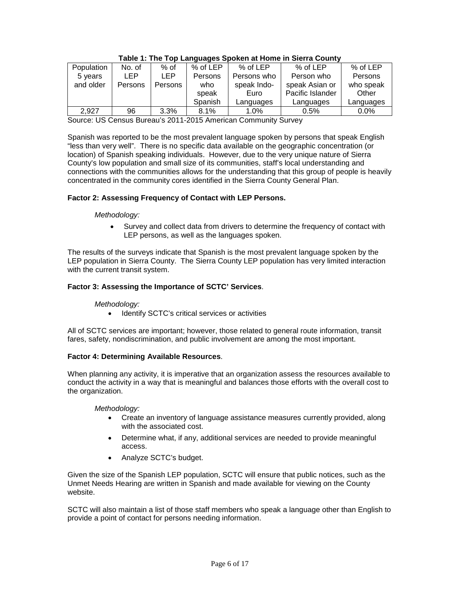| Population | No. of  | $%$ of  | % of LEP | % of LEP    | % of LEP         | % of LEP  |
|------------|---------|---------|----------|-------------|------------------|-----------|
| 5 years    | I FP    | I FP.   | Persons  | Persons who | Person who       | Persons   |
| and older  | Persons | Persons | who      | speak Indo- | speak Asian or   | who speak |
|            |         |         | speak    | Euro        | Pacific Islander | Other     |
|            |         |         | Spanish  | Languages   | Languages        | Languages |
| 2.927      | 96      | 3.3%    | 8.1%     | 1.0%        | $0.5\%$          | $0.0\%$   |

#### **Table 1: The Top Languages Spoken at Home in Sierra County**

Source: US Census Bureau's 2011-2015 American Community Survey

Spanish was reported to be the most prevalent language spoken by persons that speak English "less than very well". There is no specific data available on the geographic concentration (or location) of Spanish speaking individuals. However, due to the very unique nature of Sierra County's low population and small size of its communities, staff's local understanding and connections with the communities allows for the understanding that this group of people is heavily concentrated in the community cores identified in the Sierra County General Plan.

#### **Factor 2: Assessing Frequency of Contact with LEP Persons.**

#### *Methodology:*

• Survey and collect data from drivers to determine the frequency of contact with LEP persons, as well as the languages spoken.

The results of the surveys indicate that Spanish is the most prevalent language spoken by the LEP population in Sierra County. The Sierra County LEP population has very limited interaction with the current transit system.

#### **Factor 3: Assessing the Importance of SCTC' Services**.

#### *Methodology:*

• Identify SCTC's critical services or activities

All of SCTC services are important; however, those related to general route information, transit fares, safety, nondiscrimination, and public involvement are among the most important.

#### **Factor 4: Determining Available Resources**.

When planning any activity, it is imperative that an organization assess the resources available to conduct the activity in a way that is meaningful and balances those efforts with the overall cost to the organization.

#### *Methodology:*

- Create an inventory of language assistance measures currently provided, along with the associated cost.
- Determine what, if any, additional services are needed to provide meaningful access.
- Analyze SCTC's budget.

Given the size of the Spanish LEP population, SCTC will ensure that public notices, such as the Unmet Needs Hearing are written in Spanish and made available for viewing on the County website.

SCTC will also maintain a list of those staff members who speak a language other than English to provide a point of contact for persons needing information.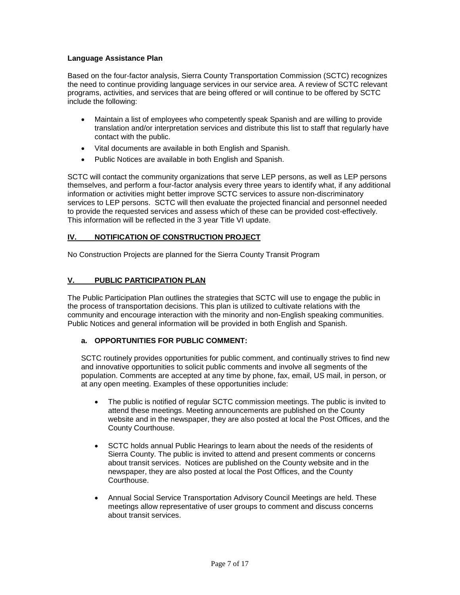#### **Language Assistance Plan**

Based on the four-factor analysis, Sierra County Transportation Commission (SCTC) recognizes the need to continue providing language services in our service area. A review of SCTC relevant programs, activities, and services that are being offered or will continue to be offered by SCTC include the following:

- Maintain a list of employees who competently speak Spanish and are willing to provide translation and/or interpretation services and distribute this list to staff that regularly have contact with the public.
- Vital documents are available in both English and Spanish.
- Public Notices are available in both English and Spanish.

SCTC will contact the community organizations that serve LEP persons, as well as LEP persons themselves, and perform a four-factor analysis every three years to identify what, if any additional information or activities might better improve SCTC services to assure non-discriminatory services to LEP persons. SCTC will then evaluate the projected financial and personnel needed to provide the requested services and assess which of these can be provided cost-effectively. This information will be reflected in the 3 year Title VI update.

#### **IV. NOTIFICATION OF CONSTRUCTION PROJECT**

No Construction Projects are planned for the Sierra County Transit Program

#### **V. PUBLIC PARTICIPATION PLAN**

The Public Participation Plan outlines the strategies that SCTC will use to engage the public in the process of transportation decisions. This plan is utilized to cultivate relations with the community and encourage interaction with the minority and non-English speaking communities. Public Notices and general information will be provided in both English and Spanish.

#### **a. OPPORTUNITIES FOR PUBLIC COMMENT:**

SCTC routinely provides opportunities for public comment, and continually strives to find new and innovative opportunities to solicit public comments and involve all segments of the population. Comments are accepted at any time by phone, fax, email, US mail, in person, or at any open meeting. Examples of these opportunities include:

- The public is notified of regular SCTC commission meetings. The public is invited to attend these meetings. Meeting announcements are published on the County website and in the newspaper, they are also posted at local the Post Offices, and the County Courthouse.
- SCTC holds annual Public Hearings to learn about the needs of the residents of Sierra County. The public is invited to attend and present comments or concerns about transit services. Notices are published on the County website and in the newspaper, they are also posted at local the Post Offices, and the County Courthouse.
- Annual Social Service Transportation Advisory Council Meetings are held. These meetings allow representative of user groups to comment and discuss concerns about transit services.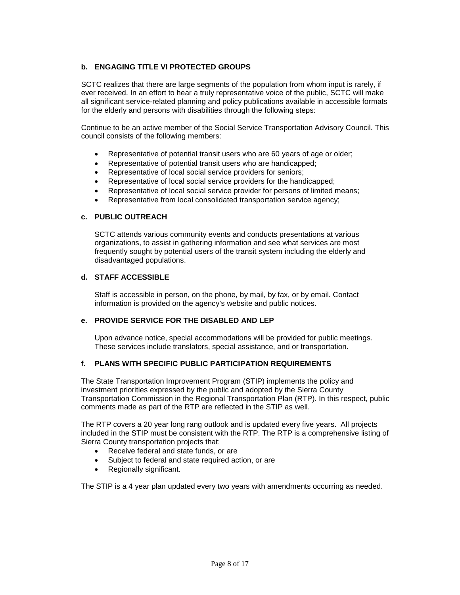#### **b. ENGAGING TITLE VI PROTECTED GROUPS**

SCTC realizes that there are large segments of the population from whom input is rarely, if ever received. In an effort to hear a truly representative voice of the public, SCTC will make all significant service-related planning and policy publications available in accessible formats for the elderly and persons with disabilities through the following steps:

Continue to be an active member of the Social Service Transportation Advisory Council. This council consists of the following members:

- Representative of potential transit users who are 60 years of age or older;
- Representative of potential transit users who are handicapped;
- Representative of local social service providers for seniors;
- Representative of local social service providers for the handicapped;
- Representative of local social service provider for persons of limited means;
- Representative from local consolidated transportation service agency;

#### **c. PUBLIC OUTREACH**

SCTC attends various community events and conducts presentations at various organizations, to assist in gathering information and see what services are most frequently sought by potential users of the transit system including the elderly and disadvantaged populations.

#### **d. STAFF ACCESSIBLE**

Staff is accessible in person, on the phone, by mail, by fax, or by email. Contact information is provided on the agency's website and public notices.

#### **e. PROVIDE SERVICE FOR THE DISABLED AND LEP**

Upon advance notice, special accommodations will be provided for public meetings. These services include translators, special assistance, and or transportation.

#### **f. PLANS WITH SPECIFIC PUBLIC PARTICIPATION REQUIREMENTS**

The State Transportation Improvement Program (STIP) implements the policy and investment priorities expressed by the public and adopted by the Sierra County Transportation Commission in the Regional Transportation Plan (RTP). In this respect, public comments made as part of the RTP are reflected in the STIP as well.

The RTP covers a 20 year long rang outlook and is updated every five years. All projects included in the STIP must be consistent with the RTP. The RTP is a comprehensive listing of Sierra County transportation projects that:

- Receive federal and state funds, or are
- Subject to federal and state required action, or are
- Regionally significant.

The STIP is a 4 year plan updated every two years with amendments occurring as needed.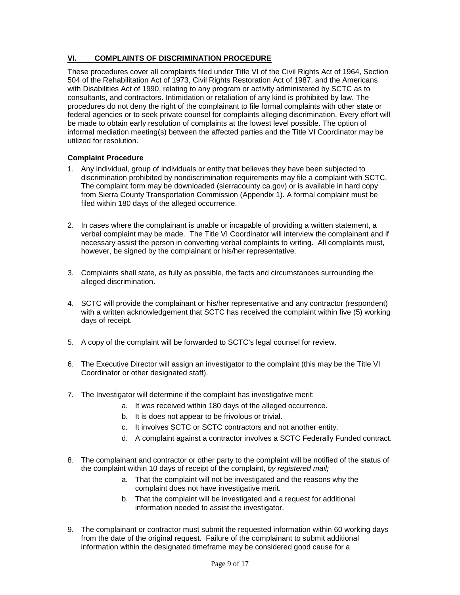#### **VI. COMPLAINTS OF DISCRIMINATION PROCEDURE**

These procedures cover all complaints filed under Title VI of the Civil Rights Act of 1964, Section 504 of the Rehabilitation Act of 1973, Civil Rights Restoration Act of 1987, and the Americans with Disabilities Act of 1990, relating to any program or activity administered by SCTC as to consultants, and contractors. Intimidation or retaliation of any kind is prohibited by law. The procedures do not deny the right of the complainant to file formal complaints with other state or federal agencies or to seek private counsel for complaints alleging discrimination. Every effort will be made to obtain early resolution of complaints at the lowest level possible. The option of informal mediation meeting(s) between the affected parties and the Title VI Coordinator may be utilized for resolution.

#### **Complaint Procedure**

- 1. Any individual, group of individuals or entity that believes they have been subjected to discrimination prohibited by nondiscrimination requirements may file a complaint with SCTC. The complaint form may be downloaded (sierracounty.ca.gov) or is available in hard copy from Sierra County Transportation Commission (Appendix 1). A formal complaint must be filed within 180 days of the alleged occurrence.
- 2. In cases where the complainant is unable or incapable of providing a written statement, a verbal complaint may be made. The Title VI Coordinator will interview the complainant and if necessary assist the person in converting verbal complaints to writing. All complaints must, however, be signed by the complainant or his/her representative.
- 3. Complaints shall state, as fully as possible, the facts and circumstances surrounding the alleged discrimination.
- 4. SCTC will provide the complainant or his/her representative and any contractor (respondent) with a written acknowledgement that SCTC has received the complaint within five (5) working days of receipt.
- 5. A copy of the complaint will be forwarded to SCTC's legal counsel for review.
- 6. The Executive Director will assign an investigator to the complaint (this may be the Title VI Coordinator or other designated staff).
- 7. The Investigator will determine if the complaint has investigative merit:
	- a. It was received within 180 days of the alleged occurrence.
	- b. It is does not appear to be frivolous or trivial.
	- c. It involves SCTC or SCTC contractors and not another entity.
	- d. A complaint against a contractor involves a SCTC Federally Funded contract.
- 8. The complainant and contractor or other party to the complaint will be notified of the status of the complaint within 10 days of receipt of the complaint, *by registered mail;*
	- a. That the complaint will not be investigated and the reasons why the complaint does not have investigative merit.
	- b. That the complaint will be investigated and a request for additional information needed to assist the investigator.
- 9. The complainant or contractor must submit the requested information within 60 working days from the date of the original request. Failure of the complainant to submit additional information within the designated timeframe may be considered good cause for a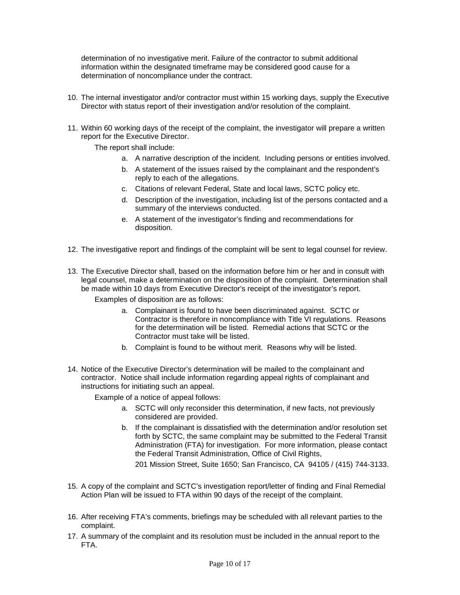determination of no investigative merit. Failure of the contractor to submit additional information within the designated timeframe may be considered good cause for a determination of noncompliance under the contract.

- 10. The internal investigator and/or contractor must within 15 working days, supply the Executive Director with status report of their investigation and/or resolution of the complaint.
- 11. Within 60 working days of the receipt of the complaint, the investigator will prepare a written report for the Executive Director.

The report shall include:

- a. A narrative description of the incident. Including persons or entities involved.
- b. A statement of the issues raised by the complainant and the respondent's reply to each of the allegations.
- c. Citations of relevant Federal, State and local laws, SCTC policy etc.
- d. Description of the investigation, including list of the persons contacted and a summary of the interviews conducted.
- e. A statement of the investigator's finding and recommendations for disposition.
- 12. The investigative report and findings of the complaint will be sent to legal counsel for review.
- 13. The Executive Director shall, based on the information before him or her and in consult with legal counsel, make a determination on the disposition of the complaint. Determination shall be made within 10 days from Executive Director's receipt of the investigator's report.

Examples of disposition are as follows:

- a. Complainant is found to have been discriminated against. SCTC or Contractor is therefore in noncompliance with Title VI regulations. Reasons for the determination will be listed. Remedial actions that SCTC or the Contractor must take will be listed.
- b. Complaint is found to be without merit. Reasons why will be listed.
- 14. Notice of the Executive Director's determination will be mailed to the complainant and contractor. Notice shall include information regarding appeal rights of complainant and instructions for initiating such an appeal.

Example of a notice of appeal follows:

- a. SCTC will only reconsider this determination, if new facts, not previously considered are provided.
- b. If the complainant is dissatisfied with the determination and/or resolution set forth by SCTC, the same complaint may be submitted to the Federal Transit Administration (FTA) for investigation. For more information, please contact the Federal Transit Administration, Office of Civil Rights,

201 Mission Street, Suite 1650; San Francisco, CA 94105 / (415) 744-3133.

- 15. A copy of the complaint and SCTC's investigation report/letter of finding and Final Remedial Action Plan will be issued to FTA within 90 days of the receipt of the complaint.
- 16. After receiving FTA's comments, briefings may be scheduled with all relevant parties to the complaint.
- 17. A summary of the complaint and its resolution must be included in the annual report to the FTA.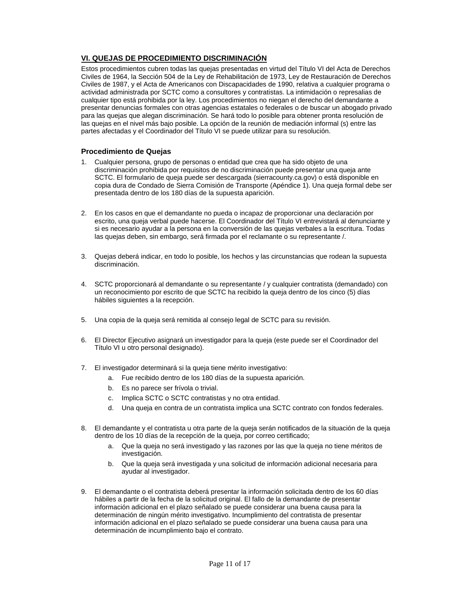#### **VI. QUEJAS DE PROCEDIMIENTO DISCRIMINACIÓN**

Estos procedimientos cubren todas las quejas presentadas en virtud del Título VI del Acta de Derechos Civiles de 1964, la Sección 504 de la Ley de Rehabilitación de 1973, Ley de Restauración de Derechos Civiles de 1987, y el Acta de Americanos con Discapacidades de 1990, relativa a cualquier programa o actividad administrada por SCTC como a consultores y contratistas. La intimidación o represalias de cualquier tipo está prohibida por la ley. Los procedimientos no niegan el derecho del demandante a presentar denuncias formales con otras agencias estatales o federales o de buscar un abogado privado para las quejas que alegan discriminación. Se hará todo lo posible para obtener pronta resolución de las quejas en el nivel más bajo posible. La opción de la reunión de mediación informal (s) entre las partes afectadas y el Coordinador del Título VI se puede utilizar para su resolución.

#### **Procedimiento de Quejas**

- 1. Cualquier persona, grupo de personas o entidad que crea que ha sido objeto de una discriminación prohibida por requisitos de no discriminación puede presentar una queja ante SCTC. El formulario de queja puede ser descargada (sierracounty.ca.gov) o está disponible en copia dura de Condado de Sierra Comisión de Transporte (Apéndice 1). Una queja formal debe ser presentada dentro de los 180 días de la supuesta aparición.
- 2. En los casos en que el demandante no pueda o incapaz de proporcionar una declaración por escrito, una queja verbal puede hacerse. El Coordinador del Título VI entrevistará al denunciante y si es necesario ayudar a la persona en la conversión de las quejas verbales a la escritura. Todas las quejas deben, sin embargo, será firmada por el reclamante o su representante /
- 3. Quejas deberá indicar, en todo lo posible, los hechos y las circunstancias que rodean la supuesta discriminación.
- 4. SCTC proporcionará al demandante o su representante / y cualquier contratista (demandado) con un reconocimiento por escrito de que SCTC ha recibido la queja dentro de los cinco (5) días hábiles siguientes a la recepción.
- 5. Una copia de la queja será remitida al consejo legal de SCTC para su revisión.
- 6. El Director Ejecutivo asignará un investigador para la queja (este puede ser el Coordinador del Título VI u otro personal designado).
- 7. El investigador determinará si la queja tiene mérito investigativo:
	- a. Fue recibido dentro de los 180 días de la supuesta aparición.
	- b. Es no parece ser frívola o trivial.
	- c. Implica SCTC o SCTC contratistas y no otra entidad.
	- d. Una queja en contra de un contratista implica una SCTC contrato con fondos federales.
- 8. El demandante y el contratista u otra parte de la queja serán notificados de la situación de la queja dentro de los 10 días de la recepción de la queja, por correo certificado;
	- a. Que la queja no será investigado y las razones por las que la queja no tiene méritos de investigación.
	- b. Que la queja será investigada y una solicitud de información adicional necesaria para ayudar al investigador.
- 9. El demandante o el contratista deberá presentar la información solicitada dentro de los 60 días hábiles a partir de la fecha de la solicitud original. El fallo de la demandante de presentar información adicional en el plazo señalado se puede considerar una buena causa para la determinación de ningún mérito investigativo. Incumplimiento del contratista de presentar información adicional en el plazo señalado se puede considerar una buena causa para una determinación de incumplimiento bajo el contrato.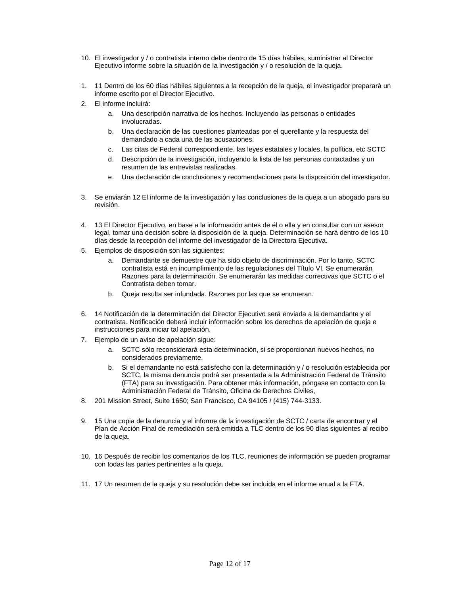- 10. El investigador y / o contratista interno debe dentro de 15 días hábiles, suministrar al Director Ejecutivo informe sobre la situación de la investigación y / o resolución de la queja.
- 1. 11 Dentro de los 60 días hábiles siguientes a la recepción de la queja, el investigador preparará un informe escrito por el Director Ejecutivo.
- 2. El informe incluirá:
	- a. Una descripción narrativa de los hechos. Incluyendo las personas o entidades involucradas.
	- b. Una declaración de las cuestiones planteadas por el querellante y la respuesta del demandado a cada una de las acusaciones.
	- c. Las citas de Federal correspondiente, las leyes estatales y locales, la política, etc SCTC
	- d. Descripción de la investigación, incluyendo la lista de las personas contactadas y un resumen de las entrevistas realizadas.
	- e. Una declaración de conclusiones y recomendaciones para la disposición del investigador.
- 3. Se enviarán 12 El informe de la investigación y las conclusiones de la queja a un abogado para su revisión.
- 4. 13 El Director Ejecutivo, en base a la información antes de él o ella y en consultar con un asesor legal, tomar una decisión sobre la disposición de la queja. Determinación se hará dentro de los 10 días desde la recepción del informe del investigador de la Directora Ejecutiva.
- 5. Ejemplos de disposición son las siguientes:
	- a. Demandante se demuestre que ha sido objeto de discriminación. Por lo tanto, SCTC contratista está en incumplimiento de las regulaciones del Título VI. Se enumerarán Razones para la determinación. Se enumerarán las medidas correctivas que SCTC o el Contratista deben tomar.
	- b. Queja resulta ser infundada. Razones por las que se enumeran.
- 6. 14 Notificación de la determinación del Director Ejecutivo será enviada a la demandante y el contratista. Notificación deberá incluir información sobre los derechos de apelación de queja e instrucciones para iniciar tal apelación.
- 7. Ejemplo de un aviso de apelación sigue:
	- a. SCTC sólo reconsiderará esta determinación, si se proporcionan nuevos hechos, no considerados previamente.
	- b. Si el demandante no está satisfecho con la determinación y / o resolución establecida por SCTC, la misma denuncia podrá ser presentada a la Administración Federal de Tránsito (FTA) para su investigación. Para obtener más información, póngase en contacto con la Administración Federal de Tránsito, Oficina de Derechos Civiles,
- 8. 201 Mission Street, Suite 1650; San Francisco, CA 94105 / (415) 744-3133.
- 9. 15 Una copia de la denuncia y el informe de la investigación de SCTC / carta de encontrar y el Plan de Acción Final de remediación será emitida a TLC dentro de los 90 días siguientes al recibo de la queja.
- 10. 16 Después de recibir los comentarios de los TLC, reuniones de información se pueden programar con todas las partes pertinentes a la queja.
- 11. 17 Un resumen de la queja y su resolución debe ser incluida en el informe anual a la FTA.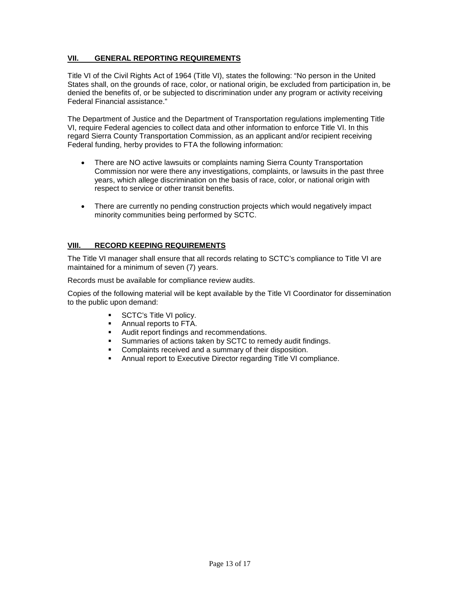#### **VII. GENERAL REPORTING REQUIREMENTS**

Title VI of the Civil Rights Act of 1964 (Title VI), states the following: "No person in the United States shall, on the grounds of race, color, or national origin, be excluded from participation in, be denied the benefits of, or be subjected to discrimination under any program or activity receiving Federal Financial assistance."

The Department of Justice and the Department of Transportation regulations implementing Title VI, require Federal agencies to collect data and other information to enforce Title VI. In this regard Sierra County Transportation Commission, as an applicant and/or recipient receiving Federal funding, herby provides to FTA the following information:

- There are NO active lawsuits or complaints naming Sierra County Transportation Commission nor were there any investigations, complaints, or lawsuits in the past three years, which allege discrimination on the basis of race, color, or national origin with respect to service or other transit benefits.
- There are currently no pending construction projects which would negatively impact minority communities being performed by SCTC.

#### **VIII. RECORD KEEPING REQUIREMENTS**

The Title VI manager shall ensure that all records relating to SCTC's compliance to Title VI are maintained for a minimum of seven (7) years.

Records must be available for compliance review audits.

Copies of the following material will be kept available by the Title VI Coordinator for dissemination to the public upon demand:

- **SCTC's Title VI policy.**
- Annual reports to FTA.
- Audit report findings and recommendations.
- Summaries of actions taken by SCTC to remedy audit findings.
- Complaints received and a summary of their disposition.
- Annual report to Executive Director regarding Title VI compliance.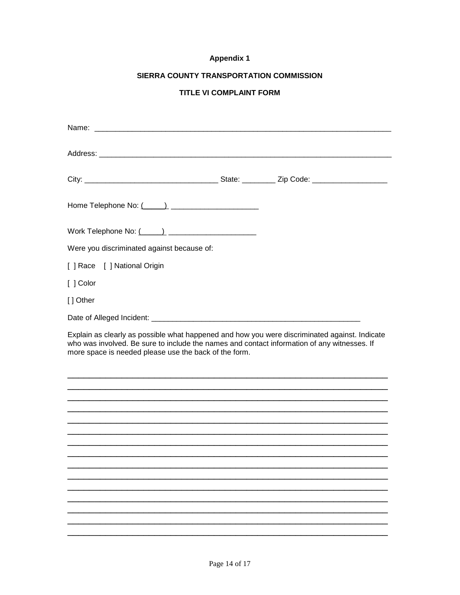#### **Appendix 1**

### SIERRA COUNTY TRANSPORTATION COMMISSION

### TITLE VI COMPLAINT FORM

| Were you discriminated against because of:                                                                                                                                                                                                            |  |
|-------------------------------------------------------------------------------------------------------------------------------------------------------------------------------------------------------------------------------------------------------|--|
| [ ] Race [ ] National Origin                                                                                                                                                                                                                          |  |
| [ ] Color                                                                                                                                                                                                                                             |  |
| [] Other                                                                                                                                                                                                                                              |  |
|                                                                                                                                                                                                                                                       |  |
| Explain as clearly as possible what happened and how you were discriminated against. Indicate<br>who was involved. Be sure to include the names and contact information of any witnesses. If<br>more space is needed please use the back of the form. |  |
|                                                                                                                                                                                                                                                       |  |
|                                                                                                                                                                                                                                                       |  |
|                                                                                                                                                                                                                                                       |  |
|                                                                                                                                                                                                                                                       |  |
|                                                                                                                                                                                                                                                       |  |
|                                                                                                                                                                                                                                                       |  |
|                                                                                                                                                                                                                                                       |  |
|                                                                                                                                                                                                                                                       |  |
|                                                                                                                                                                                                                                                       |  |
|                                                                                                                                                                                                                                                       |  |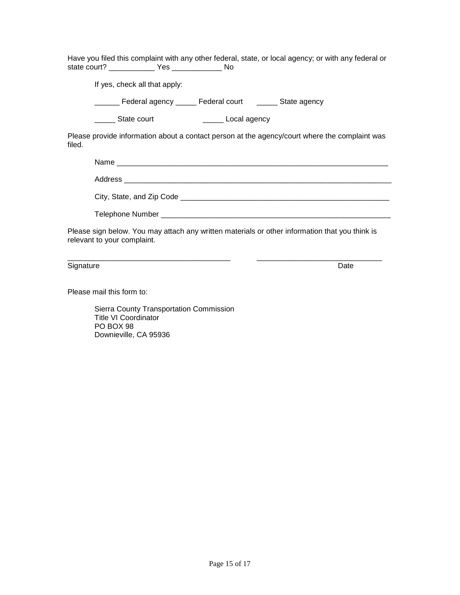Have you filed this complaint with any other federal, state, or local agency; or with any federal or state court? \_\_\_\_\_\_\_\_\_\_\_ Yes \_\_\_\_\_\_\_\_\_\_\_\_ No

If yes, check all that apply:

\_\_\_\_\_\_ Federal agency \_\_\_\_\_ Federal court \_\_\_\_\_ State agency

Local agency

Please provide information about a contact person at the agency/court where the complaint was filed.

| Name<br><u> 1980 - Jan Alexandro Alexandro Alexandro Alexandro Alexandro Alexandro Alexandro Alexandro Alexandro Alexandro Alex</u> |
|-------------------------------------------------------------------------------------------------------------------------------------|
|                                                                                                                                     |
| City, State, and Zip Code _                                                                                                         |

Telephone Number \_\_\_\_\_\_\_\_\_\_\_\_\_\_\_\_\_\_\_\_\_\_\_\_\_\_\_\_\_\_\_\_\_\_\_\_\_\_\_\_\_\_\_\_\_\_\_\_\_\_\_\_\_\_\_

Please sign below. You may attach any written materials or other information that you think is relevant to your complaint.

\_\_\_\_\_\_\_\_\_\_\_\_\_\_\_\_\_\_\_\_\_\_\_\_\_\_\_\_\_\_\_\_\_\_\_\_\_\_\_ \_\_\_\_\_\_\_\_\_\_\_\_\_\_\_\_\_\_\_\_\_\_\_\_\_\_\_\_\_\_ Signature Date **Date of the Contract of the Contract of the Contract of the Contract of the Date** 

Please mail this form to:

Sierra County Transportation Commission Title VI Coordinator PO BOX 98 Downieville, CA 95936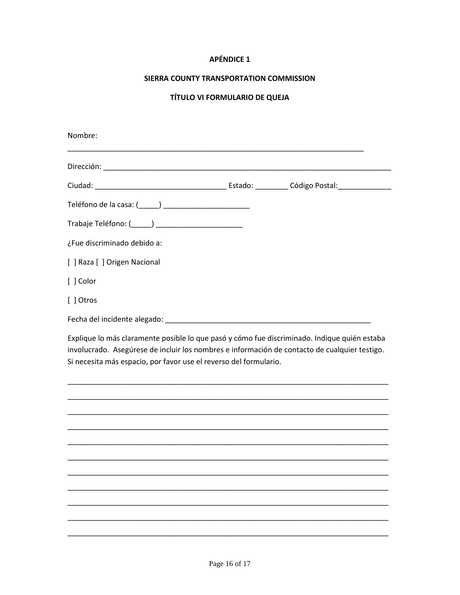#### **APÉNDICE 1**

#### SIERRA COUNTY TRANSPORTATION COMMISSION

## TÍTULO VI FORMULARIO DE QUEJA

| Nombre:                                                                                                                                                                                                                                                            |  |
|--------------------------------------------------------------------------------------------------------------------------------------------------------------------------------------------------------------------------------------------------------------------|--|
|                                                                                                                                                                                                                                                                    |  |
|                                                                                                                                                                                                                                                                    |  |
|                                                                                                                                                                                                                                                                    |  |
| Trabaje Teléfono: (______) _________________________                                                                                                                                                                                                               |  |
| ¿Fue discriminado debido a:                                                                                                                                                                                                                                        |  |
| [ ] Raza [ ] Origen Nacional                                                                                                                                                                                                                                       |  |
| [ ] Color                                                                                                                                                                                                                                                          |  |
| [ ] Otros                                                                                                                                                                                                                                                          |  |
| Fecha del incidente alegado:<br>Secha del incidente alegado:                                                                                                                                                                                                       |  |
| Explique lo más claramente posible lo que pasó y cómo fue discriminado. Indique quién estaba<br>involucrado. Asegúrese de incluir los nombres e información de contacto de cualquier testigo.<br>Si necesita más espacio, por favor use el reverso del formulario. |  |
|                                                                                                                                                                                                                                                                    |  |
|                                                                                                                                                                                                                                                                    |  |
|                                                                                                                                                                                                                                                                    |  |
|                                                                                                                                                                                                                                                                    |  |
|                                                                                                                                                                                                                                                                    |  |
|                                                                                                                                                                                                                                                                    |  |
|                                                                                                                                                                                                                                                                    |  |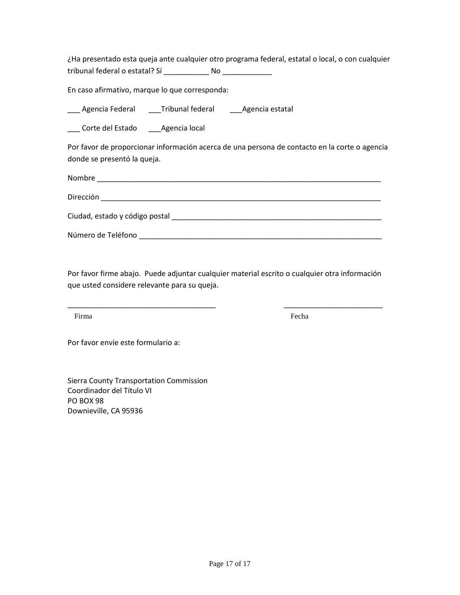¿Ha presentado esta queja ante cualquier otro programa federal, estatal o local, o con cualquier tribunal federal o estatal? Sí \_\_\_\_\_\_\_\_\_\_\_\_\_\_ No \_\_\_\_\_\_\_\_\_\_\_\_\_\_\_\_

En caso afirmativo, marque lo que corresponda:

Agencia Federal **Tribunal federal** Agencia estatal

Corte del Estado Agencia local

Por favor de proporcionar información acerca de una persona de contacto en la corte o agencia donde se presentó la queja.

| Nombre                                                                                                                                                                                                                                            |  |
|---------------------------------------------------------------------------------------------------------------------------------------------------------------------------------------------------------------------------------------------------|--|
| Dirección<br><u> 1980 - Jan Stein Stein Stein Stein Stein Stein Stein Stein Stein Stein Stein Stein Stein Stein Stein Stein Stein Stein Stein Stein Stein Stein Stein Stein Stein Stein Stein Stein Stein Stein Stein Stein Stein Stein Stein</u> |  |
| Ciudad, estado y código postal                                                                                                                                                                                                                    |  |
| Número de Teléfono                                                                                                                                                                                                                                |  |

Por favor firme abajo. Puede adjuntar cualquier material escrito o cualquier otra información que usted considere relevante para su queja.

\_\_\_\_\_\_\_\_\_\_\_\_\_\_\_\_\_\_\_\_\_\_\_\_\_\_\_\_\_\_\_\_\_\_\_\_ \_\_\_\_\_\_\_\_\_\_\_\_\_\_\_\_\_\_\_\_\_\_\_\_

Firma Fecha

Por favor envíe este formulario a:

Sierra County Transportation Commission Coordinador del Título VI PO BOX 98 Downieville, CA 95936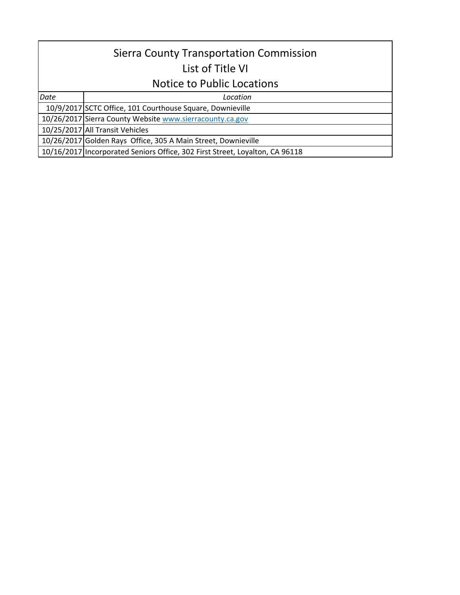## Sierra County Transportation Commission List of Title VI

## Notice to Public Locations

*Date Location*

10/9/2017 SCTC Office, 101 Courthouse Square, Downieville

10/26/2017 Sierra County Website www.sierracounty.ca.gov

10/25/2017 All Transit Vehicles

10/26/2017 Golden Rays Office, 305 A Main Street, Downieville

10/16/2017 Incorporated Seniors Office, 302 First Street, Loyalton, CA 96118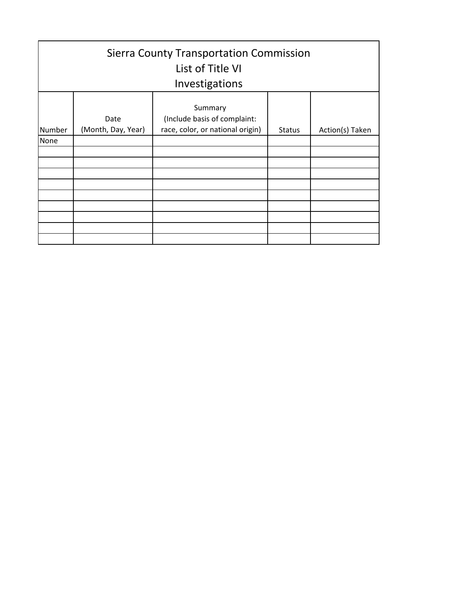| <b>Sierra County Transportation Commission</b><br>List of Title VI<br>Investigations |                            |                                                                             |               |                 |  |  |
|--------------------------------------------------------------------------------------|----------------------------|-----------------------------------------------------------------------------|---------------|-----------------|--|--|
| Number                                                                               | Date<br>(Month, Day, Year) | Summary<br>(Include basis of complaint:<br>race, color, or national origin) | <b>Status</b> | Action(s) Taken |  |  |
| None                                                                                 |                            |                                                                             |               |                 |  |  |
|                                                                                      |                            |                                                                             |               |                 |  |  |
|                                                                                      |                            |                                                                             |               |                 |  |  |
|                                                                                      |                            |                                                                             |               |                 |  |  |
|                                                                                      |                            |                                                                             |               |                 |  |  |
|                                                                                      |                            |                                                                             |               |                 |  |  |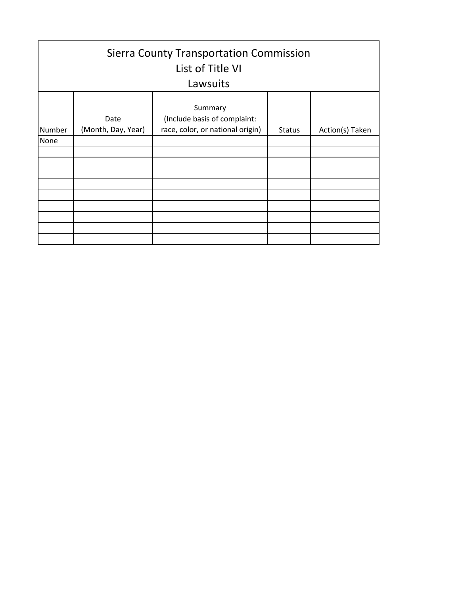| <b>Sierra County Transportation Commission</b><br>List of Title VI<br>Lawsuits |                            |                                                                             |               |                 |  |  |
|--------------------------------------------------------------------------------|----------------------------|-----------------------------------------------------------------------------|---------------|-----------------|--|--|
| Number                                                                         | Date<br>(Month, Day, Year) | Summary<br>(Include basis of complaint:<br>race, color, or national origin) | <b>Status</b> | Action(s) Taken |  |  |
| None                                                                           |                            |                                                                             |               |                 |  |  |
|                                                                                |                            |                                                                             |               |                 |  |  |
|                                                                                |                            |                                                                             |               |                 |  |  |
|                                                                                |                            |                                                                             |               |                 |  |  |
|                                                                                |                            |                                                                             |               |                 |  |  |
|                                                                                |                            |                                                                             |               |                 |  |  |
|                                                                                |                            |                                                                             |               |                 |  |  |